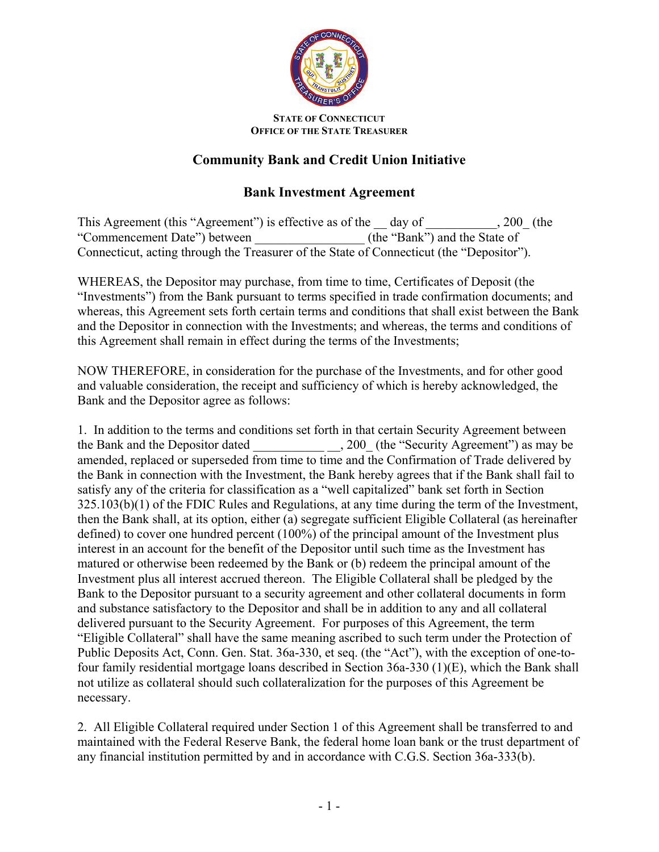

## **STATE OF CONNECTICUT OFFICE OF THE STATE TREASURER**

## **Community Bank and Credit Union Initiative**

## **Bank Investment Agreement**

This Agreement (this "Agreement") is effective as of the day of  $\qquad \qquad , 200$  (the "Commencement Date") between (the "Bank") and the State of Connecticut, acting through the Treasurer of the State of Connecticut (the "Depositor").

WHEREAS, the Depositor may purchase, from time to time, Certificates of Deposit (the "Investments") from the Bank pursuant to terms specified in trade confirmation documents; and whereas, this Agreement sets forth certain terms and conditions that shall exist between the Bank and the Depositor in connection with the Investments; and whereas, the terms and conditions of this Agreement shall remain in effect during the terms of the Investments;

NOW THEREFORE, in consideration for the purchase of the Investments, and for other good and valuable consideration, the receipt and sufficiency of which is hereby acknowledged, the Bank and the Depositor agree as follows:

1. In addition to the terms and conditions set forth in that certain Security Agreement between the Bank and the Depositor dated . 200 (the "Security Agreement") as may be amended, replaced or superseded from time to time and the Confirmation of Trade delivered by the Bank in connection with the Investment, the Bank hereby agrees that if the Bank shall fail to satisfy any of the criteria for classification as a "well capitalized" bank set forth in Section 325.103(b)(1) of the FDIC Rules and Regulations, at any time during the term of the Investment, then the Bank shall, at its option, either (a) segregate sufficient Eligible Collateral (as hereinafter defined) to cover one hundred percent (100%) of the principal amount of the Investment plus interest in an account for the benefit of the Depositor until such time as the Investment has matured or otherwise been redeemed by the Bank or (b) redeem the principal amount of the Investment plus all interest accrued thereon. The Eligible Collateral shall be pledged by the Bank to the Depositor pursuant to a security agreement and other collateral documents in form and substance satisfactory to the Depositor and shall be in addition to any and all collateral delivered pursuant to the Security Agreement. For purposes of this Agreement, the term "Eligible Collateral" shall have the same meaning ascribed to such term under the Protection of Public Deposits Act, Conn. Gen. Stat. 36a-330, et seq. (the "Act"), with the exception of one-tofour family residential mortgage loans described in Section 36a-330 (1)(E), which the Bank shall not utilize as collateral should such collateralization for the purposes of this Agreement be necessary.

2. All Eligible Collateral required under Section 1 of this Agreement shall be transferred to and maintained with the Federal Reserve Bank, the federal home loan bank or the trust department of any financial institution permitted by and in accordance with C.G.S. Section 36a-333(b).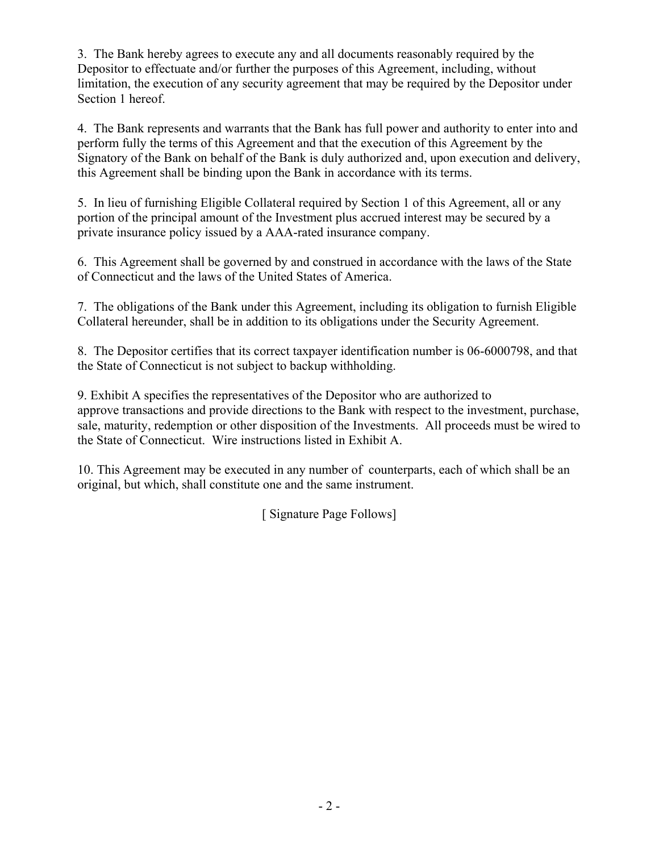3. The Bank hereby agrees to execute any and all documents reasonably required by the Depositor to effectuate and/or further the purposes of this Agreement, including, without limitation, the execution of any security agreement that may be required by the Depositor under Section 1 hereof.

4. The Bank represents and warrants that the Bank has full power and authority to enter into and perform fully the terms of this Agreement and that the execution of this Agreement by the Signatory of the Bank on behalf of the Bank is duly authorized and, upon execution and delivery, this Agreement shall be binding upon the Bank in accordance with its terms.

5. In lieu of furnishing Eligible Collateral required by Section 1 of this Agreement, all or any portion of the principal amount of the Investment plus accrued interest may be secured by a private insurance policy issued by a AAA-rated insurance company.

6. This Agreement shall be governed by and construed in accordance with the laws of the State of Connecticut and the laws of the United States of America.

7. The obligations of the Bank under this Agreement, including its obligation to furnish Eligible Collateral hereunder, shall be in addition to its obligations under the Security Agreement.

8. The Depositor certifies that its correct taxpayer identification number is 06-6000798, and that the State of Connecticut is not subject to backup withholding.

9. Exhibit A specifies the representatives of the Depositor who are authorized to approve transactions and provide directions to the Bank with respect to the investment, purchase, sale, maturity, redemption or other disposition of the Investments. All proceeds must be wired to the State of Connecticut. Wire instructions listed in Exhibit A.

10. This Agreement may be executed in any number of counterparts, each of which shall be an original, but which, shall constitute one and the same instrument.

[ Signature Page Follows]